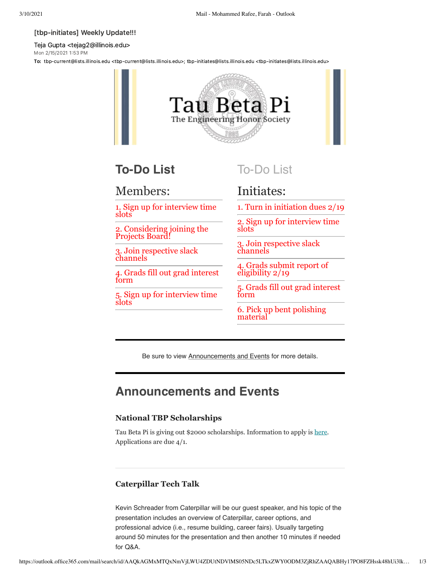#### [tbp-initiates] Weekly Update!!!

Teja Gupta <tejag2@illinois.edu> Mon 2/15/2021 1:53 PM

To: tbp-current@lists.illinois.edu <tbp-current@lists.illinois.edu>; tbp-initiates@lists.illinois.edu <tbp-initiates@lists.illinois.edu>



# **To-Do List**

## Members:

1. Sign up for interview time slots

2. Considering joining the Projects Board!

3. Join respective slack channels

4. Grads fill out grad interest form

5. Sign up for interview time slots

To-Do List

## Initiates:

1. Turn in initiation dues 2/19

2. Sign up for interview time slots

3. Join respective slack channels

4. Grads submit report of eligibility 2/19

5. Grads fill out grad interest form

6. Pick up bent polishing material

Be sure to view Announcements and Events for more details.

## **Announcements and Events**

#### **National TBP Scholarships**

Tau Beta Pi is giving out \$2000 scholarships. Information to apply is [here](https://urldefense.com/v3/__https://docs.google.com/spreadsheets/d/1lx7Ac4sFCzsU92poTwJUiWHWOi2ux5ypaXmDNVwdeYo/edit*gid=0__;Iw!!DZ3fjg!u5Ga8AoUlJ9lVYY8yx0iJXio_FNuheGerVgGTLymDu3SPjzqOE0eW-fkj9lilO_eQdnOkSo0vE8$). Applications are due 4/1.

#### **Caterpillar Tech Talk**

Kevin Schreader from Caterpillar will be our guest speaker, and his topic of the presentation includes an overview of Caterpillar, career options, and professional advice (i.e., resume building, career fairs). Usually targeting around 50 minutes for the presentation and then another 10 minutes if needed for Q&A.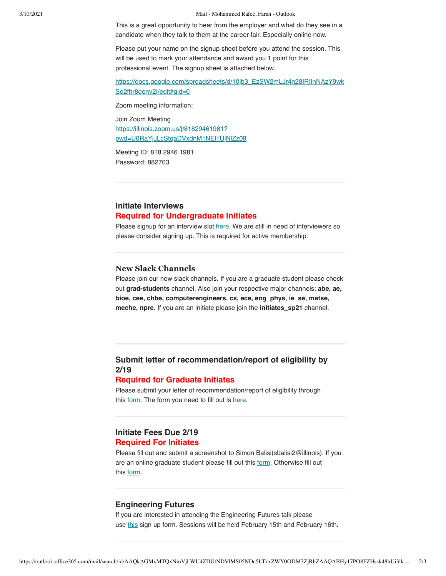3/10/2021 Mail - Mohammed Rafee, Farah - Outlook

This is a great opportunity to hear from the employer and what do they see in a candidate when they talk to them at the career fair. Especially online now.

Please put your name on the signup sheet before you attend the session. This will be used to mark your attendance and award you 1 point for this professional event. The signup sheet is attached below.

[https://docs.google.com/spreadsheets/d/10jb3\\_EzSW2mLJr4n28IRIInNAzY9wk](https://urldefense.com/v3/__https://docs.google.com/spreadsheets/d/10jb3_EzSW2mLJr4n28IRIInNAzY9wkSe2fhr8gonv2I/edit*gid=0__;Iw!!DZ3fjg!u5Ga8AoUlJ9lVYY8yx0iJXio_FNuheGerVgGTLymDu3SPjzqOE0eW-fkj9lilO_eQdnO8c78JfE$) Se2fhr8gonv2l/edit#gid=0

Zoom meeting information:

Join Zoom Meeting https://illinois.zoom.us/j/81829461981? [pwd=U0RaYjJLcStqaDVxdnM1NEl1UjNlZz09](https://illinois.zoom.us/j/81829461981?pwd=U0RaYjJLcStqaDVxdnM1NEl1UjNlZz09)

Meeting ID: 818 2946 1981 Password: 882703

### **Initiate Interviews Required for Undergraduate Initiates**

Please signup for an interview slot [here](https://urldefense.com/v3/__https://docs.google.com/spreadsheets/d/1lx7Ac4sFCzsU92poTwJUiWHWOi2ux5ypaXmDNVwdeYo/edit*gid=0__;Iw!!DZ3fjg!u5Ga8AoUlJ9lVYY8yx0iJXio_FNuheGerVgGTLymDu3SPjzqOE0eW-fkj9lilO_eQdnOkSo0vE8$). We are still in need of interviewers so please consider signing up. This is required for active membership.

### **New Slack Channels**

Please join our new slack channels. If you are a graduate student please check out **grad-students** channel. Also join your respective major channels: **abe, ae, bioe, cee, chbe, computerengineers, cs, ece, eng\_phys, ie\_se, matse, meche, npre**. If you are an initiate please join the **initiates\_sp21** channel.

## **Submit letter of recommendation/report of eligibility by 2/19**

#### **Required for Graduate Initiates**

Please submit your letter of recommendation/report of eligibility through this [form.](https://urldefense.com/v3/__https://docs.google.com/forms/d/e/1FAIpQLScSXMdyoFjxx4oi2N0m-Vvv41EvIW3jufMim15ba5UbV__2Bw/viewform?gxids=7628__;!!DZ3fjg!u5Ga8AoUlJ9lVYY8yx0iJXio_FNuheGerVgGTLymDu3SPjzqOE0eW-fkj9lilO_eQdnOfHFvpEw$) The form you need to fill out is [here.](https://urldefense.com/v3/__http://tbp.org/off/SectionEligibility.pdf__;!!DZ3fjg!u5Ga8AoUlJ9lVYY8yx0iJXio_FNuheGerVgGTLymDu3SPjzqOE0eW-fkj9lilO_eQdnOeKvmFME$)

### **Initiate Fees Due 2/19 Required For Initiates**

Please fill out and submit a screenshot to Simon Balisi(sbalisi2@illinois). If you are an online graduate student please fill out this [form](https://urldefense.com/v3/__https://tau-beta-pi.myshopify.com/products/initiation-fees-1?variant=32007150796913__;!!DZ3fjg!u5Ga8AoUlJ9lVYY8yx0iJXio_FNuheGerVgGTLymDu3SPjzqOE0eW-fkj9lilO_eQdnOxKH1rP4$). Otherwise fill out this [form.](https://urldefense.com/v3/__https://tau-beta-pi.myshopify.com/products/initiation-fees-1?variant=13713417044011__;!!DZ3fjg!u5Ga8AoUlJ9lVYY8yx0iJXio_FNuheGerVgGTLymDu3SPjzqOE0eW-fkj9lilO_eQdnOyjOmTsw$)

#### **Engineering Futures**

If you are interested in attending the Engineering Futures talk please use [this](https://urldefense.com/v3/__https://docs.google.com/forms/d/e/1FAIpQLSdzlp2Q5cj-s4Kn2pzcF15X411CTmQN24-Al_xytnc5YueOmA/viewform__;!!DZ3fjg!u5Ga8AoUlJ9lVYY8yx0iJXio_FNuheGerVgGTLymDu3SPjzqOE0eW-fkj9lilO_eQdnOQ8JZfkc$) sign up form. Sessions will be held February 15th and February 16th.